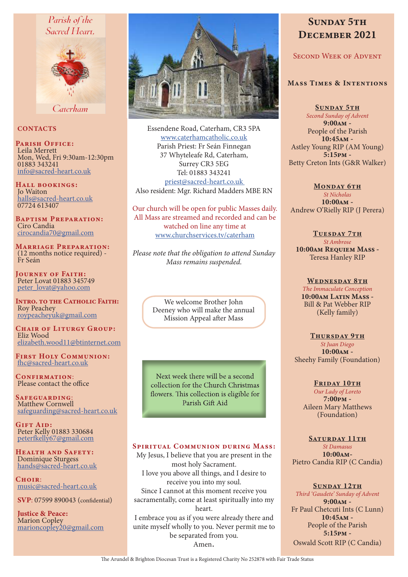## Parish of the Sacred Heart.



Caterham

## **CONTACTS**

PARISH OFFICE: Leila Merrett Mon, Wed, Fri 9:30am-12:30pm 01883 343241 info@sacred-heart.co.uk

Hall bookings: Jo Waiton halls@sacred-heart.co.uk 07724 613407

Baptism Preparation: Ciro Candia cirocandia70@gmail.com

Marriage Preparation: (12 months notice required) - Fr Seán

JOURNEY OF FAITH: Peter Lovat 01883 345749 peter\_lovat@yahoo.com

INTRO. TO THE CATHOLIC FAITH: Roy Peachey roypeacheyuk@gmail.com

CHAIR OF LITURGY GROUP: Eliz Wood elizabeth.wood11@btinternet.com

First Holy Communion: fhc@sacred-heart.co.uk

CONFIRMATION: Please contact the office

Safeguarding: Matthew Cornwell safeguarding@sacred-heart.co.uk

GIFT AID: Peter Kelly 01883 330684 peterfkelly67@gmail.com

Health and Safety: Dominique Sturgess hands@sacred-heart.co.uk

 $C$ HOIP: music@sacred-heart.co.uk

SVP: 07599 890043 (confidential)

Justice & Peace: Marion Copley marioncopley20@gmail.com



Essendene Road, Caterham, CR3 5PA www.caterhamcatholic.co.uk Parish Priest: Fr Seán Finnegan 37 Whyteleafe Rd, Caterham, Surrey CR3 5EG Tel: 01883 343241 priest@sacred-heart.co.uk

Also resident: Mgr. Richard Madders MBE RN

Our church will be open for public Masses daily. All Mass are streamed and recorded and can be watched on line any time at www.churchservices.tv/caterham

*Please note that the obligation to attend Sunday Mass remains suspended.*

> We welcome Brother John Deeney who will make the annual Mission Appeal after Mass

Next week there will be a second collection for the Church Christmas flowers. This collection is eligible for Parish Gift Aid

## SPIRITUAL COMMUNION DURING MASS:

My Jesus, I believe that you are present in the most holy Sacrament. I love you above all things, and I desire to receive you into my soul. Since I cannot at this moment receive you sacramentally, come at least spiritually into my heart. I embrace you as if you were already there and unite myself wholly to you. Never permit me to be separated from you. Amen.

# SUNDAY 5TH DECEMBER 2021

## Second Week of Advent

## Mass Times & Intentions

SUNDAY 5TH *Second Sunday of Advent* 9:00am - People of the Parish 10:45am - Astley Young RIP (AM Young) 5:15pm - Betty Creton Ints (G&R Walker)

MONDAY 6TH *St Nicholas* 10:00am - Andrew O'Rielly RIP (J Perera)

TUESDAY 7TH *St Ambrose* 10:00am Requiem Mass - Teresa Hanley RIP

WEDNESDAY 8TH *The Immaculate Conception* 10:00am Latin Mass - Bill & Pat Webber RIP (Kelly family)

THURSDAY 9TH *St Juan Diego* 10:00am - Sheehy Family (Foundation)

## FRIDAY 10TH

*Our Lady of Loreto* 7:00pm - Aileen Mary Matthews (Foundation)

SATURDAY 11TH *St Damasus* 10:00am-Pietro Candia RIP (C Candia)

#### SUNDAY 12TH

*Third 'Gaudete' Sunday of Advent* 9:00am - Fr Paul Chetcuti Ints (C Lunn) 10:45am - People of the Parish 5:15pm - Oswald Scott RIP (C Candia)